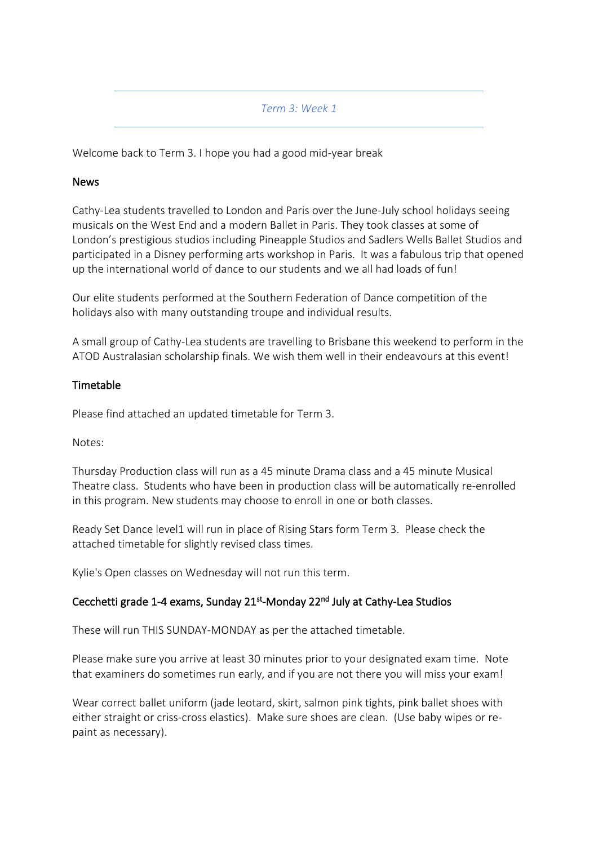### *Term 3: Week 1*

Welcome back to Term 3. I hope you had a good mid-year break

### News

Cathy-Lea students travelled to London and Paris over the June-July school holidays seeing musicals on the West End and a modern Ballet in Paris. They took classes at some of London's prestigious studios including Pineapple Studios and Sadlers Wells Ballet Studios and participated in a Disney performing arts workshop in Paris. It was a fabulous trip that opened up the international world of dance to our students and we all had loads of fun!

Our elite students performed at the Southern Federation of Dance competition of the holidays also with many outstanding troupe and individual results.

A small group of Cathy-Lea students are travelling to Brisbane this weekend to perform in the ATOD Australasian scholarship finals. We wish them well in their endeavours at this event!

### **Timetable**

Please find attached an updated timetable for Term 3.

Notes:

Thursday Production class will run as a 45 minute Drama class and a 45 minute Musical Theatre class. Students who have been in production class will be automatically re-enrolled in this program. New students may choose to enroll in one or both classes.

Ready Set Dance level1 will run in place of Rising Stars form Term 3. Please check the attached timetable for slightly revised class times.

Kylie's Open classes on Wednesday will not run this term.

## Cecchetti grade 1-4 exams, Sunday 21<sup>st</sup>-Monday 22<sup>nd</sup> July at Cathy-Lea Studios

These will run THIS SUNDAY-MONDAY as per the attached timetable.

Please make sure you arrive at least 30 minutes prior to your designated exam time. Note that examiners do sometimes run early, and if you are not there you will miss your exam!

Wear correct ballet uniform (jade leotard, skirt, salmon pink tights, pink ballet shoes with either straight or criss-cross elastics). Make sure shoes are clean. (Use baby wipes or repaint as necessary).